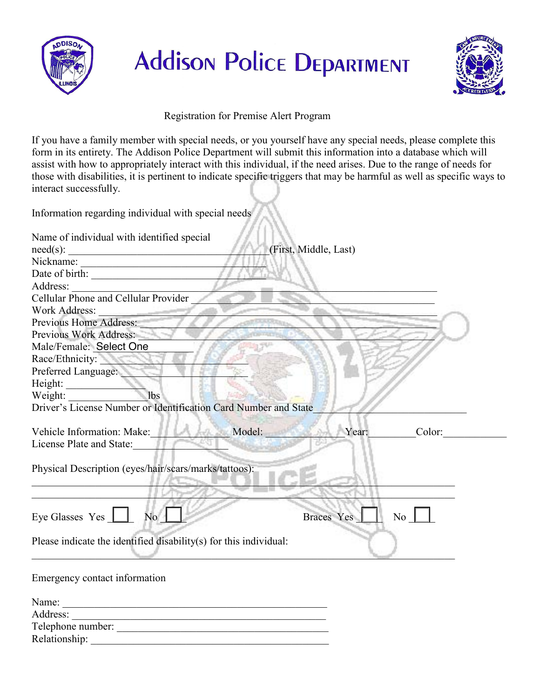



Registration for Premise Alert Program

If you have a family member with special needs, or you yourself have any special needs, please complete this form in its entirety. The Addison Police Department will submit this information into a database which will assist with how to appropriately interact with this individual, if the need arises. Due to the range of needs for those with disabilities, it is pertinent to indicate specific triggers that may be harmful as well as specific ways to interact successfully.

Information regarding individual with special needs

| Name of individual with identified special                                                |  |  |
|-------------------------------------------------------------------------------------------|--|--|
| (First, Middle, Last)<br>$need(s)$ :<br><u> 1989 - Johann Barbara, martxa alemaniar a</u> |  |  |
| Nickname:<br><u> 1989 - Johann Barbara, martxa alemaniar a</u>                            |  |  |
|                                                                                           |  |  |
| Address:                                                                                  |  |  |
| Cellular Phone and Cellular Provider                                                      |  |  |
| Work Address:                                                                             |  |  |
| Previous Home Address:                                                                    |  |  |
| Previous Work Address:                                                                    |  |  |
| Male/Female: Select One                                                                   |  |  |
| Race/Ethnicity:                                                                           |  |  |
| Preferred Language:                                                                       |  |  |
| Height:                                                                                   |  |  |
| 1 <sub>bs</sub><br>Weight:                                                                |  |  |
| Driver's License Number or Identification Card Number and State                           |  |  |
|                                                                                           |  |  |
| Vehicle Information: Make: Model: Model:<br>Year:<br>Color:                               |  |  |
| License Plate and State:                                                                  |  |  |
|                                                                                           |  |  |
| Physical Description (eyes/hair/scars/marks/tattoos):                                     |  |  |
|                                                                                           |  |  |
|                                                                                           |  |  |
|                                                                                           |  |  |
| Eye Glasses Yes 1<br>No<br>No<br><b>Braces</b> Yes                                        |  |  |
|                                                                                           |  |  |
| Please indicate the identified disability(s) for this individual:                         |  |  |
|                                                                                           |  |  |
| Emergency contact information                                                             |  |  |
|                                                                                           |  |  |
| Name:<br><u> 1989 - Jan James James Barbara, martxa amerikan personal (h. 1989).</u>      |  |  |
| Address:                                                                                  |  |  |
| Telephone number:                                                                         |  |  |
| Relationship:                                                                             |  |  |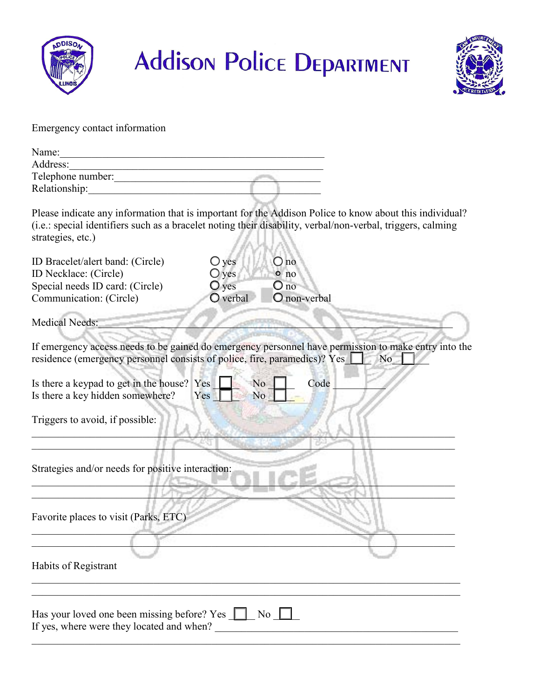



Emergency contact information

| Name:             |  |
|-------------------|--|
| Address:          |  |
| Telephone number: |  |
| Relationship:     |  |
|                   |  |

Please indicate any information that is important for the Addison Police to know about this individual? (i.e.: special identifiers such as a bracelet noting their disability, verbal/non-verbal, triggers, calming strategies, etc.)

| ID Bracelet/alert band: (Circle)                                                                                                                                                  | $\bigcirc$ yes                   | $\bigcirc$ no               |                |
|-----------------------------------------------------------------------------------------------------------------------------------------------------------------------------------|----------------------------------|-----------------------------|----------------|
| ID Necklace: (Circle)<br>Special needs ID card: (Circle)                                                                                                                          | $\bigcirc$ yes<br>$\bigcirc$ yes | $\circ$ no<br>$\bigcirc$ no |                |
| Communication: (Circle)                                                                                                                                                           | $O$ verbal                       | O non-verbal                |                |
| <b>Medical Needs:</b>                                                                                                                                                             |                                  |                             |                |
| If emergency access needs to be gained do emergency personnel have permission to make entry into the<br>residence (emergency personnel consists of police, fire, paramedics)? Yes |                                  |                             | N <sub>o</sub> |
| Is there a keypad to get in the house? Yes<br>Is there a key hidden somewhere?                                                                                                    | N <sub>o</sub><br>Yes            | Code<br>N <sub>o</sub>      |                |
| Triggers to avoid, if possible:                                                                                                                                                   |                                  |                             |                |
| Strategies and/or needs for positive interaction:                                                                                                                                 |                                  |                             |                |
| Favorite places to visit (Parks, ETC)                                                                                                                                             |                                  |                             |                |
| Habits of Registrant                                                                                                                                                              |                                  |                             |                |
| Has your loved one been missing before? Yes 1<br>If yes, where were they located and when?                                                                                        |                                  | No                          |                |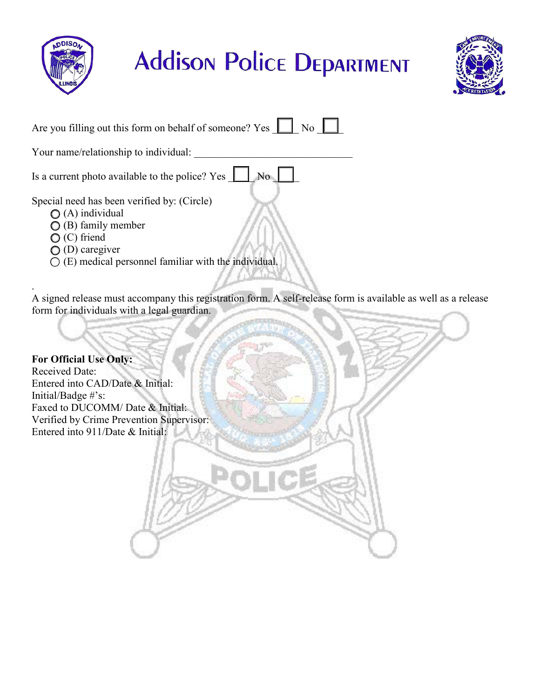



| Are you filling out this form on behalf of someone? Yes<br>$\overline{N_0}$                              |  |  |  |  |
|----------------------------------------------------------------------------------------------------------|--|--|--|--|
| Your name/relationship to individual:                                                                    |  |  |  |  |
| Is a current photo available to the police? Yes                                                          |  |  |  |  |
| Special need has been verified by: (Circle)<br>$\bigcirc$ (A) individual<br>$\bigcirc$ (B) family member |  |  |  |  |
| (C) friend<br>caregiver                                                                                  |  |  |  |  |

 $\circ$  (E) medical personnel familiar with the individual.

. A signed release must accompany this registration form. A self-release form is available as well as a release form for individuals with a legal guardian.

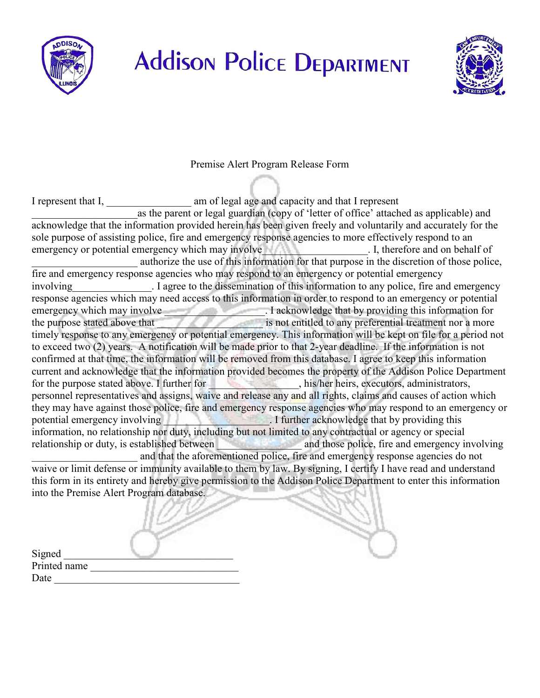



Premise Alert Program Release Form

I represent that I, \_\_\_\_\_\_\_\_\_\_\_\_\_\_\_\_ am of legal age and capacity and that I represent as the parent or legal guardian (copy of 'letter of office' attached as applicable) and acknowledge that the information provided herein has been given freely and voluntarily and accurately for the sole purpose of assisting police, fire and emergency response agencies to more effectively respond to an emergency or potential emergency which may involve Theorem and on behalf of Theorem and on behalf of authorize the use of this information for that purpose in the discretion of those police, fire and emergency response agencies who may respond to an emergency or potential emergency involving Tagree to the dissemination of this information to any police, fire and emergency response agencies which may need access to this information in order to respond to an emergency or potential emergency which may involve **EXECUTE:** I acknowledge that by providing this information for the purpose stated above that \_\_\_\_\_\_\_\_\_\_\_\_\_\_\_\_\_\_\_\_ is not entitled to any preferential treatment nor a more timely response to any emergency or potential emergency. This information will be kept on file for a period not to exceed two (2) years. A notification will be made prior to that 2-year deadline. If the information is not confirmed at that time, the information will be removed from this database. I agree to keep this information current and acknowledge that the information provided becomes the property of the Addison Police Department for the purpose stated above. I further for \_\_\_\_\_\_\_\_\_\_\_\_\_\_, his/her heirs, executors, administrators, personnel representatives and assigns, waive and release any and all rights, claims and causes of action which they may have against those police, fire and emergency response agencies who may respond to an emergency or potential emergency involving **Example 2018** The section of the section of the section of the section of the section of the section of the section of the section of the section of the section of the section of the section information, no relationship nor duty, including but not limited to any contractual or agency or special relationship or duty, is established between and those police, fire and emergency involving and that the aforementioned police, fire and emergency response agencies do not waive or limit defense or immunity available to them by law. By signing, I certify I have read and understand this form in its entirety and hereby give permission to the Addison Police Department to enter this information into the Premise Alert Program database.

| Signed       |  |
|--------------|--|
| Printed name |  |
| Date         |  |